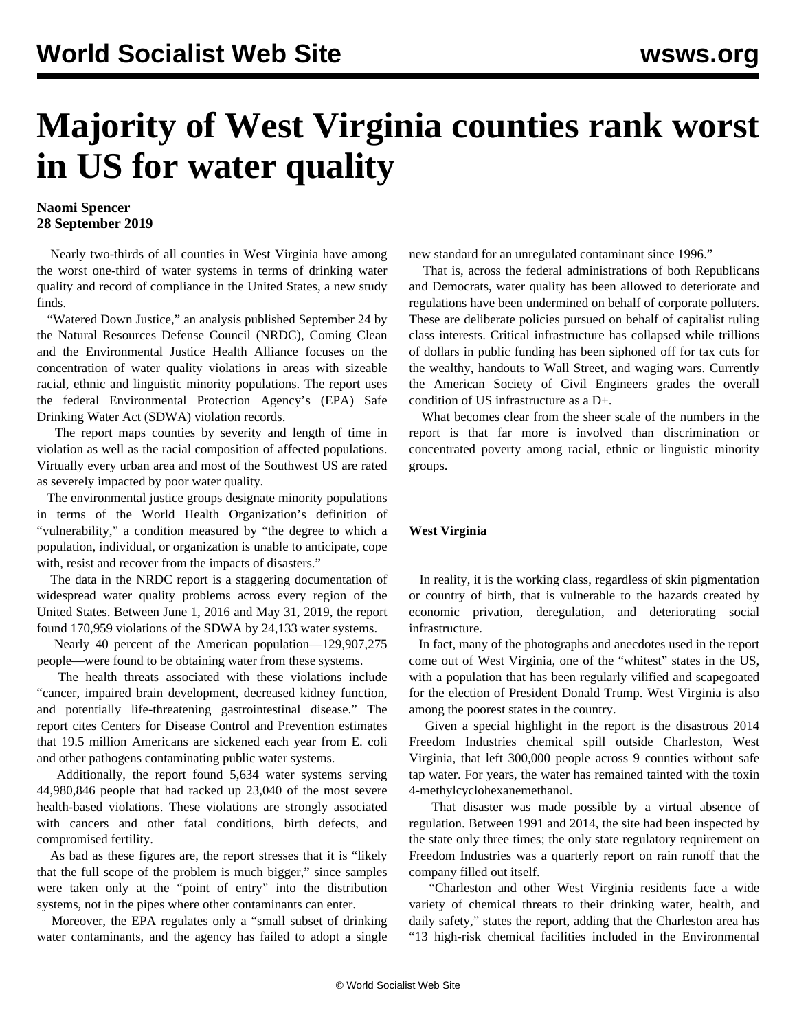## **Majority of West Virginia counties rank worst in US for water quality**

## **Naomi Spencer 28 September 2019**

 Nearly two-thirds of all counties in West Virginia have among the worst one-third of water systems in terms of drinking water quality and record of compliance in the United States, a new study finds.

 "[Watered Down Justice,](https://drive.google.com/file/d/1ue0F6QZHbvj2eRE0nEkrHkw-WHuGIRZV/view)" an analysis published September 24 by the Natural Resources Defense Council (NRDC), Coming Clean and the Environmental Justice Health Alliance focuses on the concentration of water quality violations in areas with sizeable racial, ethnic and linguistic minority populations. The report uses the federal Environmental Protection Agency's (EPA) Safe Drinking Water Act (SDWA) violation records.

 The report maps counties by severity and length of time in violation as well as the racial composition of affected populations. Virtually every urban area and most of the Southwest US are rated as severely impacted by poor water quality.

 The environmental justice groups designate minority populations in terms of the World Health Organization's definition of "vulnerability," a condition measured by "the degree to which a population, individual, or organization is unable to anticipate, cope with, resist and recover from the impacts of disasters."

 The data in the NRDC report is a staggering documentation of widespread water quality problems across every region of the United States. Between June 1, 2016 and May 31, 2019, the report found 170,959 violations of the SDWA by 24,133 water systems.

 Nearly 40 percent of the American population—129,907,275 people—were found to be obtaining water from these systems.

 The health threats associated with these violations include "cancer, impaired brain development, decreased kidney function, and potentially life-threatening gastrointestinal disease." The report cites Centers for Disease Control and Prevention estimates that 19.5 million Americans are sickened each year from E. coli and other pathogens contaminating public water systems.

 Additionally, the report found 5,634 water systems serving 44,980,846 people that had racked up 23,040 of the most severe health-based violations. These violations are strongly associated with cancers and other fatal conditions, birth defects, and compromised fertility.

 As bad as these figures are, the report stresses that it is "likely that the full scope of the problem is much bigger," since samples were taken only at the "point of entry" into the distribution systems, not in the pipes where other contaminants can enter.

 Moreover, the EPA regulates only a "small subset of drinking water contaminants, and the agency has failed to adopt a single

new standard for an unregulated contaminant since 1996."

 That is, across the federal administrations of both Republicans and Democrats, water quality has been allowed to deteriorate and regulations have been undermined on behalf of corporate polluters. These are deliberate policies pursued on behalf of capitalist ruling class interests. Critical infrastructure has collapsed while trillions of dollars in public funding has been siphoned off for tax cuts for the wealthy, handouts to Wall Street, and waging wars. Currently the American Society of Civil Engineers grades the overall condition of US infrastructure as a D+.

 What becomes clear from the sheer scale of the numbers in the report is that far more is involved than discrimination or concentrated poverty among racial, ethnic or linguistic minority groups.

## **West Virginia**

 In reality, it is the working class, regardless of skin pigmentation or country of birth, that is vulnerable to the hazards created by economic privation, deregulation, and deteriorating social infrastructure.

 In fact, many of the photographs and anecdotes used in the report come out of West Virginia, one of the "whitest" states in the US, with a population that has been regularly vilified and scapegoated for the election of President Donald Trump. West Virginia is also among the poorest states in the country.

 Given a special highlight in the report is the disastrous [2014](/en/articles/2014/01/13/chem-j13.html) [Freedom Industries chemical spill](/en/articles/2014/01/13/chem-j13.html) outside Charleston, West Virginia, that left 300,000 people across 9 counties without safe tap water. For years, the water has remained tainted with the toxin 4-methylcyclohexanemethanol.

 That disaster was made possible by a virtual absence of regulation. Between 1991 and 2014, the site had been inspected by the state only three times; the only state regulatory requirement on Freedom Industries was a quarterly report on rain runoff that the company filled out itself.

 "Charleston and other West Virginia residents face a wide variety of chemical threats to their drinking water, health, and daily safety," states the report, adding that the Charleston area has "13 high-risk chemical facilities included in the Environmental